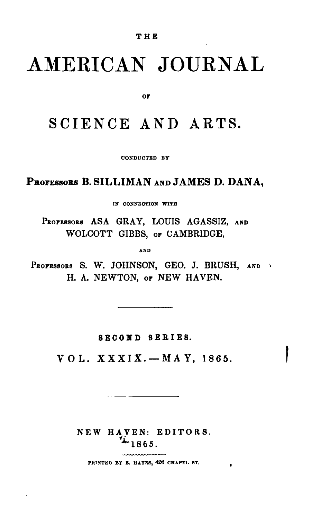## AMERICAN JOURNAL

or

## SCIENCE AND ARTS.

CONDUCTED BY

PROFESSORS B. SILLIMAN AND JAMES D. DANA,

IN CONNECTION WITH

PROFESSORS ASA GRAY, LOUIS AGASSIZ, AND WOLCOTT GIBBS, or CAMBRIDGE,

AND

PROFESSORS S. W. JOHNSON, GEO. J. BRUSH, AND H. A. NEWTON, OF NEW HAVEN.

**SECOND SERIES.** 

 $VOL. XXXIX. - MAY, 1865.$ 

NEW HAVEN: EDITORS.  $-1865$ .

PRINTED BY E. HATES, 426 CHAPEL ST.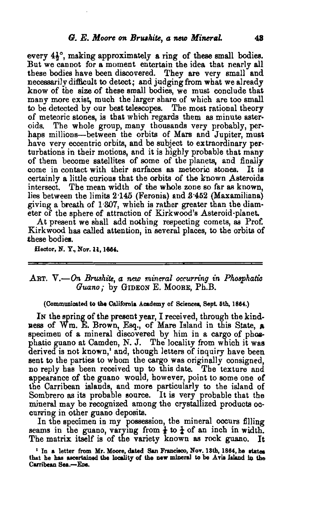every  $4\frac{1}{2}$ <sup>o</sup>, making approximately a ring of these small bodies. But we cannot for a moment entertain the idea that nearly all these bodies have been discovered. They are very small and necessarily difficult to detect; and judging from what we already know of the size of these small bodies, we must conclude that many more exist, much the larger share of which are too small to be detected by our best telescopes. The most rational theory of meteoric stones, is that which regards them as minute asteroids. The whole group, many thousands very probably, perhaps millions-between the orbits of Mars and Jupiter, must have very eccentric orbits, and be subject to extraordinary perturbations in their motions, and it is highly probable that many of them become satellites of some of the planets, and finally come in contact with their surfaces as meteoric stones. It is certainly a little curious that the orbits of the known Asteroids intersect. The mean width of the whole zone so far as known, lies between the limits 2.145 (Feronia) and 3.452 (Maxamiliana) giving a breath of 1'307, whieh is rather greater than the diameter of the sphere of attraction of Kirkwood's Asteroid-planet.

At present we shall add nothing respecting comets, as Prof. Kirkwood has called attention, in several places, to the orbits of these bodies.

Hector, N. Y., Nov. 11, 1664.

## ART. V.-On *BrttShite, a* new *mineral occurring* in *Phosphatic* Guano; by GIDEON E. MOORE, Ph.B.

## (Communicated to the California Academy of Sciences, Sept. 5th, 1864.)

In the spring of the present year, I received, through the kindness of Wm. E. Brown, Esq., of Mare Island in this State, a specimen of a mineral discovered by him in a cargo of phosphatic guano at Camden, N. J. The locality from which it was derived is not known,' and, though letters of inquiry have been sent to the parties to whom the cargo was originally consigned, no reply has been received up to this date. The texture and appearance of the guano would, however, point to some one of the Carribean islands, and more particularly to the island of Sombrero as its probable source. It is very probable that the mineral may be recognized among the crystallized products occurring in other guano deposits.

In the specimen in my possession, the mineral occurs filling seams in the guano, varying from  $\frac{1}{2}$  to  $\frac{1}{2}$  of an inch in width. The matrix itself is of the variety known as rock guano. It

<sup>1</sup> In a letter from Mr. Moore, dated San Francisco, Nov. 18th, 1864, he states that he has ascertained the locality of the new mineral to be Avis Island in the Carribean Sea.-Eps.